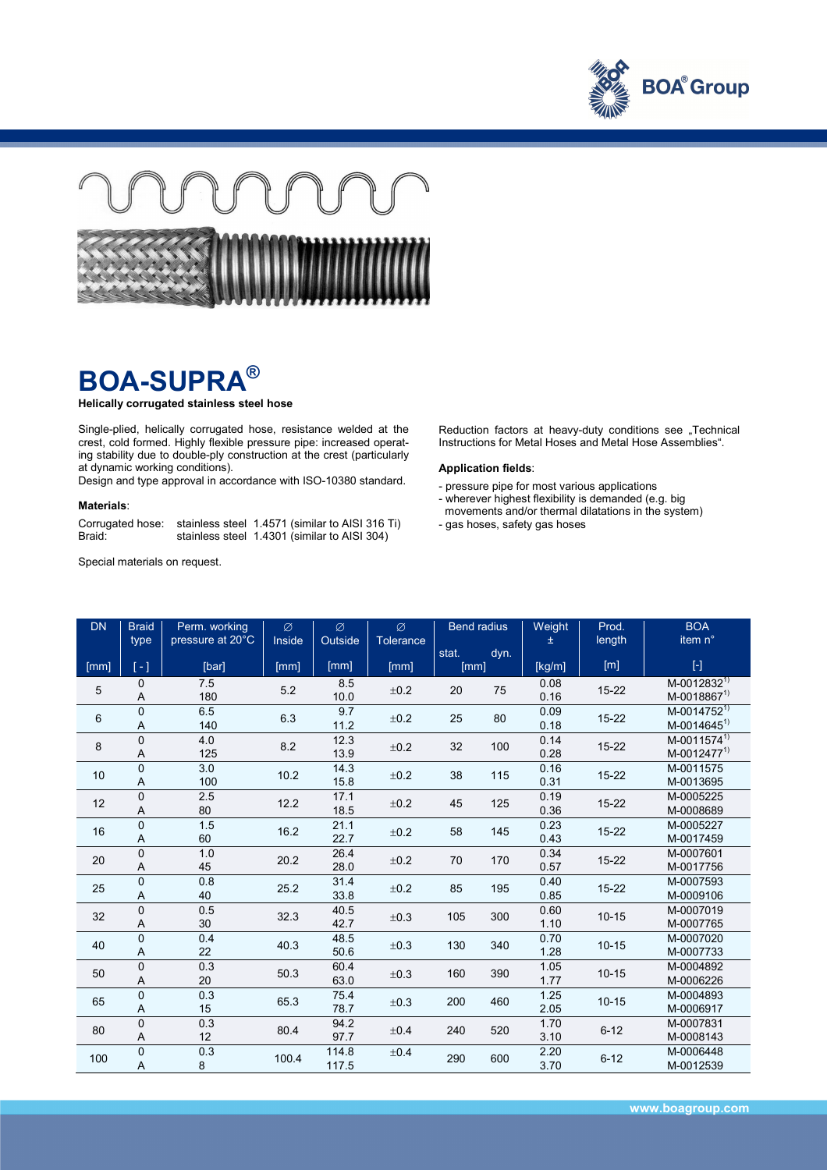



## **BOA-SUPRA®**

**Helically corrugated stainless steel hose** 

Single-plied, helically corrugated hose, resistance welded at the crest, cold formed. Highly flexible pressure pipe: increased operating stability due to double-ply construction at the crest (particularly at dynamic working conditions).

Design and type approval in accordance with ISO-10380 standard.

## **Materials**:

Corrugated hose: stainless steel 1.4571 (similar to AISI 316 Ti) Braid: stainless steel 1.4301 (similar to AISI 304)

Special materials on request.

Reduction factors at heavy-duty conditions see "Technical Instructions for Metal Hoses and Metal Hose Assemblies".

## **Application fields**:

- pressure pipe for most various applications
- wherever highest flexibility is demanded (e.g. big
- movements and/or thermal dilatations in the system)
- gas hoses, safety gas hoses

| <b>DN</b> | <b>Braid</b><br>type          | Perm. working<br>pressure at 20°C | Ø<br>Inside | Ø<br>Outside   | $\varnothing$<br><b>Tolerance</b> | <b>Bend radius</b> |      | Weight<br>士  | Prod.<br>length | <b>BOA</b><br>item n°                                                                                                                                                                                   |
|-----------|-------------------------------|-----------------------------------|-------------|----------------|-----------------------------------|--------------------|------|--------------|-----------------|---------------------------------------------------------------------------------------------------------------------------------------------------------------------------------------------------------|
| [mm]      | $[-]$                         | [bar]                             | [mm]        | [mm]           | [mm]                              | stat.<br>[mm]      | dyn. | [kg/m]       | [m]             | $[\cdot] % \centering \includegraphics[width=0.9\textwidth]{images/TrDiS/NR-Architecture.png} % \caption{The first two different values of $N$ in the left and right.} \label{TrDiS/NR-Architecture} %$ |
| 5         | $\mathbf{0}$<br>Α             | 7.5<br>180                        | 5.2         | 8.5<br>10.0    | ±0.2                              | 20                 | 75   | 0.08<br>0.16 | 15-22           | M-0012832 <sup>1)</sup><br>$M-0018867^{1}$                                                                                                                                                              |
| 6         | $\Omega$<br>A                 | 6.5<br>140                        | 6.3         | 9.7<br>11.2    | ±0.2                              | 25                 | 80   | 0.09<br>0.18 | 15-22           | M-0014752 <sup>1)</sup><br>$M-0014645^{1}$                                                                                                                                                              |
| 8         | $\Omega$<br>A                 | 4.0<br>125                        | 8.2         | 12.3<br>13.9   | ±0.2                              | 32                 | 100  | 0.14<br>0.28 | 15-22           | M-0011574 <sup>1)</sup><br>M-0012477 <sup>1)</sup>                                                                                                                                                      |
| 10        | $\mathbf 0$<br>Α              | 3.0<br>100                        | 10.2        | 14.3<br>15.8   | ±0.2                              | 38                 | 115  | 0.16<br>0.31 | $15 - 22$       | M-0011575<br>M-0013695                                                                                                                                                                                  |
| 12        | $\mathbf 0$<br>Α              | 2.5<br>80                         | 12.2        | 17.1<br>18.5   | ±0.2                              | 45                 | 125  | 0.19<br>0.36 | 15-22           | M-0005225<br>M-0008689                                                                                                                                                                                  |
| 16        | $\Omega$<br>A                 | 1.5<br>60                         | 16.2        | 21.1<br>22.7   | ±0.2                              | 58                 | 145  | 0.23<br>0.43 | 15-22           | M-0005227<br>M-0017459                                                                                                                                                                                  |
| 20        | $\Omega$<br>A                 | 1.0<br>45                         | 20.2        | 26.4<br>28.0   | ±0.2                              | 70                 | 170  | 0.34<br>0.57 | 15-22           | M-0007601<br>M-0017756                                                                                                                                                                                  |
| 25        | $\Omega$<br>Α                 | 0.8<br>40                         | 25.2        | 31.4<br>33.8   | ±0.2                              | 85                 | 195  | 0.40<br>0.85 | 15-22           | M-0007593<br>M-0009106                                                                                                                                                                                  |
| 32        | $\mathbf 0$<br>A              | 0.5<br>30                         | 32.3        | 40.5<br>42.7   | ±0.3                              | 105                | 300  | 0.60<br>1.10 | $10 - 15$       | M-0007019<br>M-0007765                                                                                                                                                                                  |
| 40        | $\mathbf 0$<br>A              | 0.4<br>22                         | 40.3        | 48.5<br>50.6   | ±0.3                              | 130                | 340  | 0.70<br>1.28 | $10 - 15$       | M-0007020<br>M-0007733                                                                                                                                                                                  |
| 50        | $\Omega$<br>A                 | 0.3<br>20                         | 50.3        | 60.4<br>63.0   | ±0.3                              | 160                | 390  | 1.05<br>1.77 | $10 - 15$       | M-0004892<br>M-0006226                                                                                                                                                                                  |
| 65        | $\Omega$<br>Α                 | 0.3<br>15                         | 65.3        | 75.4<br>78.7   | ±0.3                              | 200                | 460  | 1.25<br>2.05 | $10 - 15$       | M-0004893<br>M-0006917                                                                                                                                                                                  |
| 80        | $\mathbf{0}$<br>Α             | 0.3<br>12                         | 80.4        | 94.2<br>97.7   | ±0.4                              | 240                | 520  | 1.70<br>3.10 | $6 - 12$        | M-0007831<br>M-0008143                                                                                                                                                                                  |
| 100       | $\mathbf 0$<br>$\overline{A}$ | 0.3<br>8                          | 100.4       | 114.8<br>117.5 | ±0.4                              | 290                | 600  | 2.20<br>3.70 | $6 - 12$        | M-0006448<br>M-0012539                                                                                                                                                                                  |